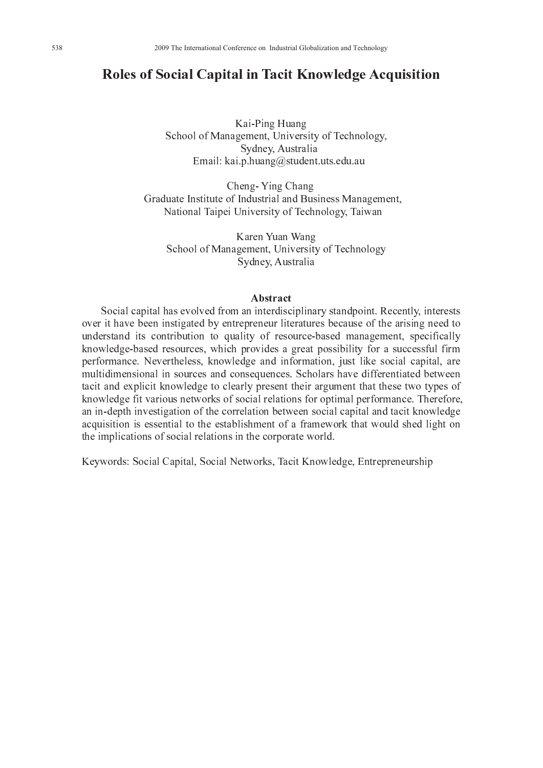# Roles of Social Capital in Tacit Knowledge Acquisition

Kai-Ping Huang School of Management, University of Technology, Sydney, Australia Email: kai.p.huang@student.uts.edu.au

Cheng- Ying Chang Graduate Institute of Industrial and Business Management, National Taipei University of Technology, Taiwan

Karen Yuan Wang School of Management, University of Technology Sydney, Australia

#### Abstract

Social capital has evolved from an interdisciplinary standpoint. Recently, interests over it have been instigated by entrepreneur literatures because of the arising need to understand its contribution to quality of resource-based management, specifically knowledge-based resources, which provides a great possibility for a successful firm performance. Nevertheless, knowledge and information, just like social capital, are multidimensional in sources and consequences. Scholars have differentiated between tacit and explicit knowledge to clearly present their argument that these two types of knowledge fit various networks of social relations for optimal performance. Therefore, an in-depth investigation of the correlation between social capital and tacit knowledge acquisition is essential to the establishment of a framework that would shed light on the implications of social relations in the corporate world.

Keywords: Social Capital, Social Networks, Tacit Knowledge, Entrepreneurship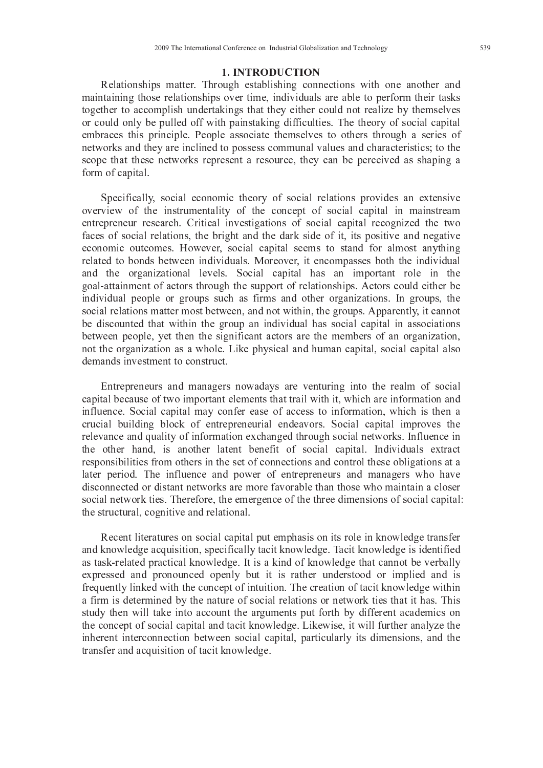Relationships matter. Through establishing connections with one another and maintaining those relationships over time, individuals are able to perform their tasks together to accomplish undertakings that they either could not realize by themselves or could only be pulled off with painstaking difficulties. The theory of social capital embraces this principle. People associate themselves to others through a series of networks and they are inclined to possess communal values and characteristics; to the scope that these networks represent a resource, they can be perceived as shaping a form of capital.

Specifically, social economic theory of social relations provides an extensive overview of the instrumentality of the concept of social capital in mainstream entrepreneur research. Critical investigations of social capital recognized the two faces of social relations, the bright and the dark side of it, its positive and negative economic outcomes. However, social capital seems to stand for almost anything related to bonds between individuals. Moreover, it encompasses both the individual and the organizational levels. Social capital has an important role in the goal-attainment of actors through the support of relationships. Actors could either be individual people or groups such as firms and other organizations. In groups, the social relations matter most between, and not within, the groups. Apparently, it cannot be discounted that within the group an individual has social capital in associations between people, yet then the significant actors are the members of an organization, not the organization as a whole. Like physical and human capital, social capital also demands investment to construct.

Entrepreneurs and managers nowadays are venturing into the realm of social capital because of two important elements that trail with it, which are information and influence. Social capital may confer ease of access to information, which is then a crucial building block of entrepreneurial endeavors. Social capital improves the relevance and quality of information exchanged through social networks. Influence in the other hand, is another latent benefit of social capital. Individuals extract responsibilities from others in the set of connections and control these obligations at a later period. The influence and power of entrepreneurs and managers who have disconnected or distant networks are more favorable than those who maintain a closer social network ties. Therefore, the emergence of the three dimensions of social capital: the structural, cognitive and relational.

Recent literatures on social capital put emphasis on its role in knowledge transfer and knowledge acquisition, specifically tacit knowledge. Tacit knowledge is identified as task-related practical knowledge. It is a kind of knowledge that cannot be verbally expressed and pronounced openly but it is rather understood or implied and is frequently linked with the concept of intuition. The creation of tacit knowledge within a firm is determined by the nature of social relations or network ties that it has. This study then will take into account the arguments put forth by different academics on the concept of social capital and tacit knowledge. Likewise, it will further analyze the inherent interconnection between social capital, particularly its dimensions, and the transfer and acquisition of tacit knowledge.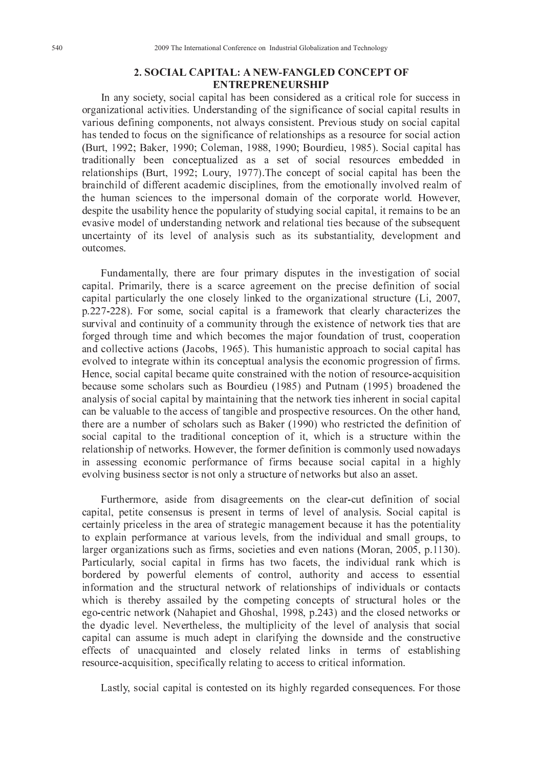### 2. SOCIAL CAPITAL: A NEW-FANGLED CONCEPT OF ENTREPRENEURSHIP

In any society, social capital has been considered as a critical role for success in organizational activities. Understanding of the significance of social capital results in various defining components, not always consistent. Previous study on social capital has tended to focus on the significance of relationships as a resource for social action (Burt, 1992; Baker, 1990; Coleman, 1988, 1990; Bourdieu, 1985). Social capital has traditionally been conceptualized as a set of social resources embedded in relationships (Burt, 1992; Loury, 1977). The concept of social capital has been the brainchild of different academic disciplines, from the emotionally involved realm of the human sciences to the impersonal domain of the corporate world. However, despite the usability hence the popularity of studying social capital, it remains to be an evasive model of understanding network and relational ties because of the subsequent uncertainty of its level of analysis such as its substantiality, development and outcomes.

m'arional and itels. Understanding of the significance of such a capital capital rest<br>solutions of the significancy and a significance of relationships as a recentre for social capital<br>strong-of the proposition of the sign various defining exomponents, not above) anotherists. Previous stand op the significance of relationships are a results of the significance of relationships at a resource for total capital relationships then (1902; Baker, has tended to free or the significance of relationships as a resource for each interimental capital capital capital capital capital capital capital capital capital capital capital capital capital capital capital capital ca (Bar, 1992; Paker, 1990; Colomos, 1998; D90; Domatican, 1985; Social actionships as a relationship the significance stationships the stationships the relationships as a relation of relationships as a relationship control irradina if because competituality are a set of scalin resources embedded in<br>the institution in the interferometric and its a set of social capital has been the<br>hastonality been competitions, for social capital capital cap relationships (Barrt, 1992; Loury, 1997). The concept of social contributed behinded as been the human sciences to the inpursual dominate the theoretic control in the social resources when the conceptuality hence the popu brainchild of different acceleanic sizespites, from the enotionally involved reals of the steps (the steps (the steps (the steps (the steps of social capital) involved reals of the steps (the urano sciences to the impersum the human sciences to the impressent of the copycine voltable chemical discipline the solutility hence the populatity of studying social squisal, it remains to be an uncertainty of its level of undlysis such as its substan despies the usability hence the popularity of ratulying social eqital, it remains to be an<br>evasive model of understanding network and relational tas because of the subsequent<br>uncertainty of its level of analysis such as it evakwe model of understanding network and relational ties because of the subsequent ouccounts.<br>
uncertainty of its beel of analysis such as its substantiality, development and<br>explain Permetic the state are none primary di uncertainty of its level of analysis such as its substantiality, development and<br>the transmetally, there are four primary disputes in the investigation of social<br>expansion Primary hives is a scarce agreement on the precis outcomes.<br>
Fundamentally, there are four primary disputes in the investigation of social<br>explail particularly, there is a scarce ngreencant on the precise definition of social<br>explail particularly the osciels particular Funda<br>capital. Pr<br>capital par<br>p.227-228)<br>survival an<br>forged thro<br>and collect<br>evolved to<br>Hence, soc<br>because sc<br>analysis of<br>can be value<br>there are a<br>social cap<br>relationshi<br>in assessing propared information<br>larger orga<br>Partic cclesifies that clear in encoded to control the control of the control of the control of the control of the control of the control of the control of the control of the control of the control of the control of the control o Fundamentally, there are four primary disputes in the investigation of social Ial. Primarity, there is a scarce agreement on the precise definition of social particularly the one tolesty linked to the oparalizational structure (Li, 2007, 2017, a scanner in the presisted of the orientation of rots an capital. Primarily, there is a scarce agreement on the precise definition of social capital particularly the one closely linked to the organizational structure (1i, 2007, 2227-2222). For some, social capital is a framework that elentry change is a scarce affect through the scarce affect through the prima capital particularly the one closely linked to the organizational structure (Li, 2007, p.227-228). For forme, social capital is a framework that clearly characterizes the survival and onenimitaly of a community through the existence of network its that are sure of the organization of trust, cooperation struc p.227-228). For some, social capital is a framework that clearly characterizes the survival and continuity of a community through the existence of network ties that are forged through time and which becomes the major foundation of trust, cooperation and collective actions (Jacobs, 1965). This humanistic approach to social capital has evolved to integrate within its conceptual analysis the economic progression of firms. Hence, social capital became quite constrained with the notion of resource-acquisition because some scholars such as Bourdieu (1985) and Putnam (1995) broadened the analysis of social capital by maintaining that the network ties inherent in social capital can be valuable to the access of tangible and prospective resources. On the other hand, there are a number of scholars such as Baker (1990) who restricted the definition of social capital to the traditional conception of it, which is a structure within the relationship of networks. However, the former definition is commonly used nowadays in assessing economic performance of firms because social capital in a highly evolving business sector is not only a structure of networks but also an asset.

survival and continuity of a community through the existence of network ties that are<br>foregrel through time and which hecomes the major functation of true, conperation<br>and collective actions (Jacobs, 1965). This humanistic forged through time and which becomes the major fundation of rust, cooperation and collective actions (Jacobs, 1965). This humanistic approach to social capital has are evolved to integrate within its conceptual analysis t and collective actions (Jacobs, 1965). This humanistic approach to social capital has evolved to integrate within its conceptual analysis for economic progression of frmss. Hence, social capital became quite constrained w colocal to integrate within its conceptual analysis the economic progression of firms.<br>Hence, social capital became quite constrained with the notion of resource-acquisition<br>because some scholars such as Bourdieu (1985) an Hence, social capital became quite constrained with the notion of resource-acquisition<br>because some scholars such as Bourdieu (1985) and Putuam (1999) broadends the<br>analysis of social capital by maintaining that the networ because some scholars such as Bourdieu (1985) and Putnam (1995) broadcned the analysis of scocial capital by mathtaining that the network ties inherent in social capital be can be valuable to the access of tangible and pro analysis of social capital by maintaining that the network ties inherent in social capital<br>can be valuable to the access of fangible and prospective escources. On the other hand<br>chere are a number of scholars such as Baker can be valuable to the access of tangible and prospective resources. On the other hand, there are a number of scholars such as Baker (1990) who restricted the definition of modes in a slate that the method in a state in th there are a number of scholars such as Baker (1990) who restricted the definition of social capital to the traditional conception of it, which is a structure within the constrained conception of it, which is a structure wi social capital to the traditional conception of it, which is a structure within the relationship of networks. However, the former definition is commonly used nowadays enough enervors. However, the former definition is comm relationship of networks. However, the former definition is commonly used nowadays<br>in assessing economic performance of firms because social capital in a highly<br>evolving busines sector is not only a structure of networks b in assessing economic performance of firms because social capital in a highly<br>evolving business sector is not only a structure of networks but also an asset.<br>Furthermore, aside from disagreements on the clear-cut definitio evolving business sector is not only a structure of networks but also an asset.<br>
Furthermore, aside from disagreements on the clear-cut definition of social<br>
capital, petite consensus is present in terms of level of analys Furthermore, aside from disagreements on the clear-cut definition capital, petite consensus is present in terms of level of analysis. Social certainly priceless in the area of strategic management because it has the pto ex c c t 1 H i v e t c e r Furthermore, aside from disagreements on the clear-cut definition of social flat, petite consensus is present in terms of level of analysis. Social capital is<br>inly priceless in the area of strategic management because it has the potentiality<br>replain performance at various levels, from the individu capital, petite consensus is present in terms of level of analysis. Social capital is certainly priceless in the area of strategic management because it has the potentiality<br>to explain performance at various levels, from the individual and small groups, to<br>larger organizations such as firms, societies and e certainly priceless in the area of strategic management because it has the potentiality to explain performance at various levels, from the individual and small groups, to larger organizations such as firms, societies and even nations (Moran, 2005, p.1130). Particularly, social capital in firms has two facets, to explain performance at various levels, from the individual and small groups, to larger organizations such as firms, societies and even nations (Moran, 2005, p.1130).<br>Particularly, social capital in firms has two facets, the individual rank which is<br>bordered by powerful elements of control, authority a larger organizations such as firms, societies and even nations (Moran, 2005, p.1130). Particularly, social capital in firms has two facets, the individual rank which is<br>bordered by powerful elements of control, authority and access to essential<br>information and the structural network of relationships of indi Particularly, social capital in firms has two facets, the individual rank which is bordered by powerful elements of control, authority and access to essential information and the structural network of relationships of individuals or contacts which is thereby assailed by the competing concepts of structur bordered by powerful elements of control, authority and access to essential information and the structural network of relationships of individuals or contacts<br>which is thereby assailed by the competing concepts of structural holes or the<br>ego-centric network (Nahapiet and Ghoshal, 1998, p.243) and information and the structural network of relationships of individuals or contacts which is thereby assailed by the competing concepts of structural holes or the ego-centric network (Nahapiet and Ghoshal, 1998, p.243) and the closed networks or the dyadic level. Nevertheless, the multiplicity of the leve which is thereby assailed by the competing concepts of structural holes or the ego-centric network (Nahapiet and Ghoshal, 1998, p.243) and the closed networks or<br>the dyadic level. Nevertheless, the multiplicity of the level of analysis that social<br>capital can assume is much adept in clarifying the do ego-centric network (Nahapiet and Ghoshal, 1998, p.243) and the closed networks or the dyadic level. Nevertheless, the multiplicity of the level of analysis that social<br>capital can assume is much adept in clarifying the downside and the constructive<br>effects of unacquainted and closely related links in te the dyadic level. Nevertheless, the multiplicity of the level of analysis that social the dyadical can assume is much adept in clarifying the downside and the constructive effects of unacquainted and closely related links in terms of establishing resource-acquisition, specifically relating to access to crit capital can assume is much adept in clarifying the downside and the constructive effects of unacquainted and closely related links in terms of establishing resource-acquisition, specifically relating to access to critical information.<br>Lastly, social capital is contested on its highly regarded consequen effects of unacquainted and closely related links in terms of establishing resource-acquisition, specifically relating to access to critical information.<br>Lastly, social capital is contested on its highly regarded consequences. For those resource-acquisition, specifically relating to access to critical information.

Lastly, social capital is contested on its highly regarded consequence Lastly, social capital is contested on its highly regarded consequences. For those Lastly, social capital is contested on its highly regarded consequences. For those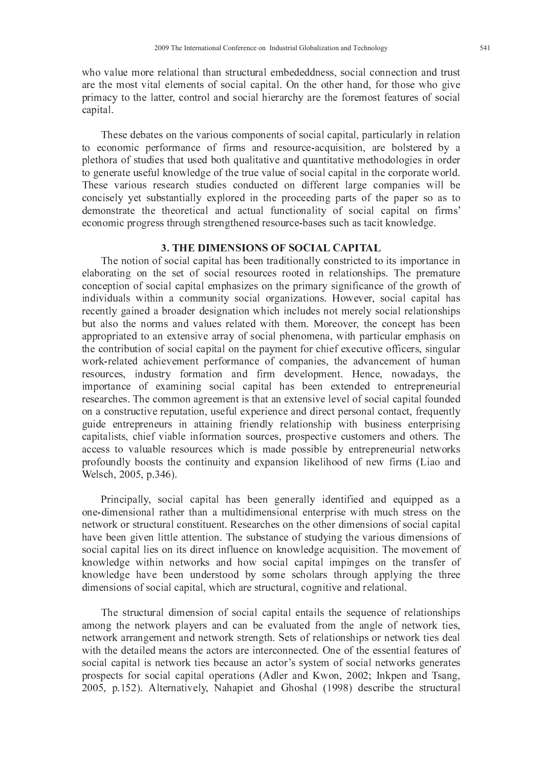who value more relational than structural embededdness, social connection and trust are the most vital elements of social capital. On the other hand, for those who give primacy to the latter, control and social hierarchy are the foremost features of social capital.

These debates on the various components of social capital, particularly in relation to economic performance of firms and resource-acquisition, are bolstered by a plethora of studies that used both qualitative and quantitative methodologies in order to generate useful knowledge of the true value of social capital in the corporate world. These various research studies conducted on different large companies will be concisely yet substantially explored in the proceeding parts of the paper so as to demonstrate the theoretical and actual functionality of social capital on firms' economic progress through strengthened resource-bases such as tacit knowledge.

#### 3. THE DIMENSIONS OF SOCIAL CAPITAL

The notion of social capital has been traditionally constricted to its importance in elaborating on the set of social resources rooted in relationships. The premature conception of social capital emphasizes on the primary significance of the growth of individuals within a community social organizations. However, social capital has recently gained a broader designation which includes not merely social relationships but also the norms and values related with them. Moreover, the concept has been appropriated to an extensive array of social phenomena, with particular emphasis on the contribution of social capital on the payment for chief executive officers, singular work-related achievement performance of companies, the advancement of human resources, industry formation and firm development. Hence, nowadays, the importance of examining social capital has been extended to entrepreneurial researches. The common agreement is that an extensive level of social capital founded on a constructive reputation, useful experience and direct personal contact, frequently guide entrepreneurs in attaining friendly relationship with business enterprising capitalists, chief viable information sources, prospective customers and others. The access to valuable resources which is made possible by entrepreneurial networks profoundly boosts the continuity and expansion likelihood of new firms (Liao and Welsch, 2005, p.346).

Principally, social capital has been generally identified and equipped as a one-dimensional rather than a multidimensional enterprise with much stress on the network or structural constituent. Researches on the other dimensions of social capital have been given little attention. The substance of studying the various dimensions of social capital lies on its direct influence on knowledge acquisition. The movement of knowledge within networks and how social capital impinges on the transfer of knowledge have been understood by some scholars through applying the three dimensions of social capital, which are structural, cognitive and relational.

The structural dimension of social capital entails the sequence of relationships among the network players and can be evaluated from the angle of network ties, network arrangement and network strength. Sets of relationships or network ties deal with the detailed means the actors are interconnected. One of the essential features of social capital is network ties because an actor's system of social networks generates prospects for social capital operations (Adler and Kwon, 2002; Inkpen and Tsang, 2005, p.152). Alternatively, Nahapiet and Ghoshal (1998) describe the structural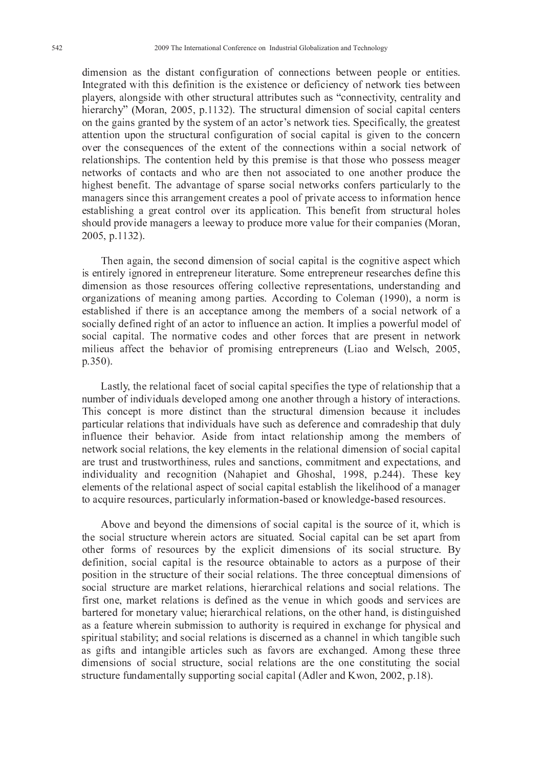dimension as the distant configuration of connections between people or entities. Integrated with this definition is the existence or deficiency of network ties between players, alongside with other structural attributes such as "connectivity, centrality and hierarchy" (Moran, 2005, p.1132). The structural dimension of social capital centers on the gains granted by the system of an actor's network ties. Specifically, the greatest attention upon the structural configuration of social capital is given to the concern over the consequences of the extent of the connections within a social network of relationships. The contention held by this premise is that those who possess meager networks of contacts and who are then not associated to one another produce the highest benefit. The advantage of sparse social networks confers particularly to the managers since this arrangement creates a pool of private access to information hence establishing a great control over its application. This benefit from structural holes should provide managers a leeway to produce more value for their companies (Moran, 2005, p.1132).

Then again, the second dimension of social capital is the cognitive aspect which is entirely ignored in entrepreneur literature. Some entrepreneur researches define this dimension as those resources offering collective representations, understanding and organizations of meaning among parties. According to Coleman (1990), a norm is established if there is an acceptance among the members of a social network of a socially defined right of an actor to influence an action. It implies a powerful model of social capital. The normative codes and other forces that are present in network milieus affect the behavior of promising entrepreneurs (Liao and Welsch, 2005, p.350).

Lastly, the relational facet of social capital specifies the type of relationship that a number of individuals developed among one another through a history of interactions. This concept is more distinct than the structural dimension because it includes particular relations that individuals have such as deference and comradeship that duly influence their behavior. Aside from intact relationship among the members of network social relations, the key elements in the relational dimension of social capital are trust and trustworthiness, rules and sanctions, commitment and expectations, and individuality and recognition (Nahapiet and Ghoshal, 1998, p.244). These key elements of the relational aspect of social capital establish the likelihood of a manager to acquire resources, particularly information-based or knowledge-based resources.

Above and beyond the dimensions of social capital is the source of it, which is the social structure wherein actors are situated. Social capital can be set apart from other forms of resources by the explicit dimensions of its social structure. By definition, social capital is the resource obtainable to actors as a purpose of their position in the structure of their social relations. The three conceptual dimensions of social structure are market relations, hierarchical relations and social relations. The first one, market relations is defined as the venue in which goods and services are bartered for monetary value; hierarchical relations, on the other hand, is distinguished as a feature wherein submission to authority is required in exchange for physical and spiritual stability; and social relations is discerned as a channel in which tangible such as gifts and intangible articles such as favors are exchanged. Among these three dimensions of social structure, social relations are the one constituting the social structure fundamentally supporting social capital (Adler and Kwon, 2002, p.18).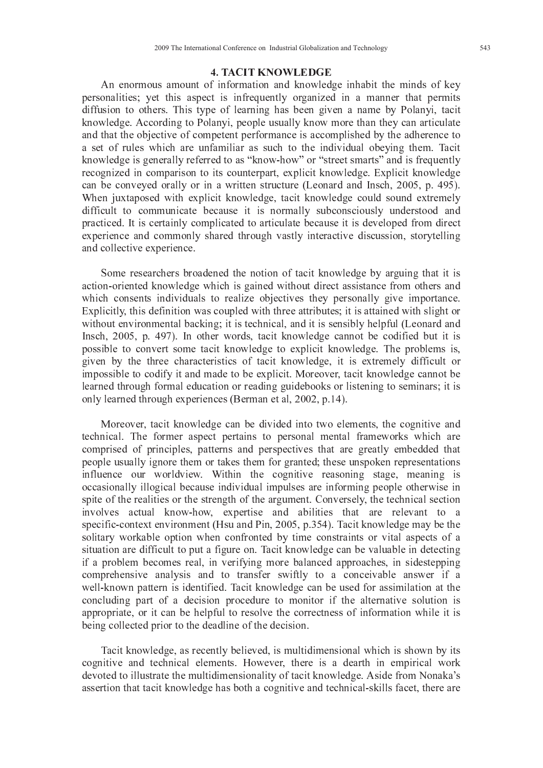### 4. TACIT KNOWLEDGE

An enormous amount of information and knowledge inhabit the minds of key personalities; yet this aspect is infrequently organized in a manner that permits diffusion to others. This type of learning has been given a name by Polanyi, tacit knowledge. According to Polanyi, people usually know more than they can articulate and that the objective of competent performance is accomplished by the adherence to a set of rules which are unfamiliar as such to the individual obeying them. Tacit knowledge is generally referred to as "know-how" or "street smarts" and is frequently recognized in comparison to its counterpart, explicit knowledge. Explicit knowledge can be conveyed orally or in a written structure (Leonard and Insch, 2005, p. 495). When juxtaposed with explicit knowledge, tacit knowledge could sound extremely difficult to communicate because it is normally subconsciously understood and practiced. It is certainly complicated to articulate because it is developed from direct experience and commonly shared through vastly interactive discussion, storytelling and collective experience.

Some researchers broadened the notion of tacit knowledge by arguing that it is action-oriented knowledge which is gained without direct assistance from others and which consents individuals to realize objectives they personally give importance. Explicitly, this definition was coupled with three attributes; it is attained with slight or without environmental backing; it is technical, and it is sensibly helpful (Leonard and Insch, 2005, p. 497). In other words, tacit knowledge cannot be codified but it is possible to convert some tacit knowledge to explicit knowledge. The problems is, given by the three characteristics of tacit knowledge, it is extremely difficult or impossible to codify it and made to be explicit. Moreover, tacit knowledge cannot be learned through formal education or reading guidebooks or listening to seminars; it is only learned through experiences (Berman et al, 2002, p.14).

Moreover, tacit knowledge can be divided into two elements, the cognitive and technical. The former aspect pertains to personal mental frameworks which are comprised of principles, patterns and perspectives that are greatly embedded that people usually ignore them or takes them for granted; these unspoken representations influence our worldview. Within the cognitive reasoning stage, meaning is occasionally illogical because individual impulses are informing people otherwise in spite of the realities or the strength of the argument. Conversely, the technical section involves actual know-how, expertise and abilities that are relevant to a specific-context environment (Hsu and Pin, 2005, p.354). Tacit knowledge may be the solitary workable option when confronted by time constraints or vital aspects of a situation are difficult to put a figure on. Tacit knowledge can be valuable in detecting if a problem becomes real, in verifying more balanced approaches, in sidestepping comprehensive analysis and to transfer swiftly to a conceivable answer if a well-known pattern is identified. Tacit knowledge can be used for assimilation at the concluding part of a decision procedure to monitor if the alternative solution is appropriate, or it can be helpful to resolve the correctness of information while it is being collected prior to the deadline of the decision.

Tacit knowledge, as recently believed, is multidimensional which is shown by its cognitive and technical elements. However, there is a dearth in empirical work devoted to illustrate the multidimensionality of tacit knowledge. Aside from Nonaka's assertion that tacit knowledge has both a cognitive and technical-skills facet, there are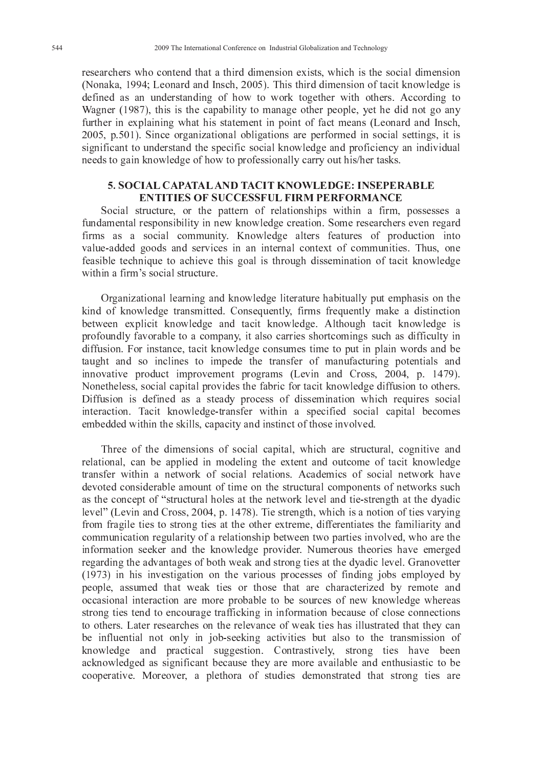researchers who contend that a third dimension exists, which is the social dimension (Nonaka, 1994; Leonard and Insch, 2005). This third dimension of tacit knowledge is defined as an understanding of how to work together with others. According to Wagner (1987), this is the capability to manage other people, yet he did not go any further in explaining what his statement in point of fact means (Leonard and Insch, 2005, p.501). Since organizational obligations are performed in social settings, it is significant to understand the specific social knowledge and proficiency an individual needs to gain knowledge of how to professionally carry out his/her tasks.

## 5. SOCIAL CAPATAL AND TACIT KNOWLEDGE: INSEPERABLE ENTITIES OF SUCCESSFUL FIRM PERFORMANCE

Social structure, or the pattern of relationships within a firm, possesses a fundamental responsibility in new knowledge creation. Some researchers even regard firms as a social community. Knowledge alters features of production into value-added goods and services in an internal context of communities. Thus, one feasible technique to achieve this goal is through dissemination of tacit knowledge within a firm's social structure.

Organizational learning and knowledge literature habitually put emphasis on the kind of knowledge transmitted. Consequently, firms frequently make a distinction between explicit knowledge and tacit knowledge. Although tacit knowledge is profoundly favorable to a company, it also carries shortcomings such as difficulty in diffusion. For instance, tacit knowledge consumes time to put in plain words and be taught and so inclines to impede the transfer of manufacturing potentials and innovative product improvement programs (Levin and Cross, 2004, p. 1479). Nonetheless, social capital provides the fabric for tacit knowledge diffusion to others. Diffusion is defined as a steady process of dissemination which requires social interaction. Tacit knowledge-transfer within a specified social capital becomes embedded within the skills, capacity and instinct of those involved.

Three of the dimensions of social capital, which are structural, cognitive and relational, can be applied in modeling the extent and outcome of tacit knowledge transfer within a network of social relations. Academics of social network have devoted considerable amount of time on the structural components of networks such as the concept of "structural holes at the network level and tie-strength at the dyadic level" (Levin and Cross, 2004, p. 1478). Tie strength, which is a notion of ties varying from fragile ties to strong ties at the other extreme, differentiates the familiarity and communication regularity of a relationship between two parties involved, who are the information seeker and the knowledge provider. Numerous theories have emerged regarding the advantages of both weak and strong ties at the dyadic level. Granovetter (1973) in his investigation on the various processes of finding jobs employed by people, assumed that weak ties or those that are characterized by remote and occasional interaction are more probable to be sources of new knowledge whereas strong ties tend to encourage trafficking in information because of close connections to others. Later researches on the relevance of weak ties has illustrated that they can be influential not only in job-seeking activities but also to the transmission of knowledge and practical suggestion. Contrastively, strong ties have been acknowledged as significant because they are more available and enthusiastic to be cooperative. Moreover, a plethora of studies demonstrated that strong ties are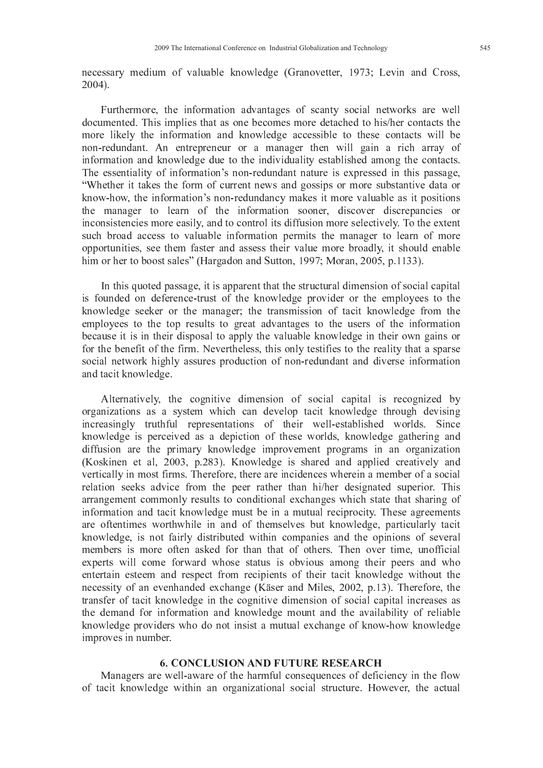necessary medium of valuable knowledge (Granovetter, 1973; Levin and Cross, 2004).

Furthermore, the information advantages of scanty social networks are well documented. This implies that as one becomes more detached to his/her contacts the more likely the information and knowledge accessible to these contacts will be non-redundant. An entrepreneur or a manager then will gain a rich array of information and knowledge due to the individuality established among the contacts. The essentiality of information's non-redundant nature is expressed in this passage, "Whether it takes the form of current news and gossips or more substantive data or know-how, the information's non-redundancy makes it more valuable as it positions the manager to learn of the information sooner, discover discrepancies or inconsistencies more easily, and to control its diffusion more selectively. To the extent such broad access to valuable information permits the manager to learn of more opportunities, see them faster and assess their value more broadly, it should enable him or her to boost sales" (Hargadon and Sutton, 1997; Moran, 2005, p.1133).

In this quoted passage, it is apparent that the structural dimension of social capital is founded on deference-trust of the knowledge provider or the employees to the knowledge seeker or the manager; the transmission of tacit knowledge from the employees to the top results to great advantages to the users of the information because it is in their disposal to apply the valuable knowledge in their own gains or for the benefit of the firm. Nevertheless, this only testifies to the reality that a sparse social network highly assures production of non-redundant and diverse information and tacit knowledge.

Alternatively, the cognitive dimension of social capital is recognized by organizations as a system which can develop tacit knowledge through devising increasingly truthful representations of their well-established worlds. Since knowledge is perceived as a depiction of these worlds, knowledge gathering and diffusion are the primary knowledge improvement programs in an organization (Koskinen et al, 2003, p.283). Knowledge is shared and applied creatively and vertically in most firms. Therefore, there are incidences wherein a member of a social relation seeks advice from the peer rather than hi/her designated superior. This arrangement commonly results to conditional exchanges which state that sharing of information and tacit knowledge must be in a mutual reciprocity. These agreements are oftentimes worthwhile in and of themselves but knowledge, particularly tacit knowledge, is not fairly distributed within companies and the opinions of several members is more often asked for than that of others. Then over time, unofficial experts will come forward whose status is obvious among their peers and who entertain esteem and respect from recipients of their tacit knowledge without the necessity of an evenhanded exchange (Käser and Miles, 2002, p.13). Therefore, the transfer of tacit knowledge in the cognitive dimension of social capital increases as the demand for information and knowledge mount and the availability of reliable knowledge providers who do not insist a mutual exchange of know-how knowledge improves in number.

### 6. CONCLUSION AND FUTURE RESEARCH

Managers are well-aware of the harmful consequences of deficiency in the flow of tacit knowledge within an organizational social structure. However, the actual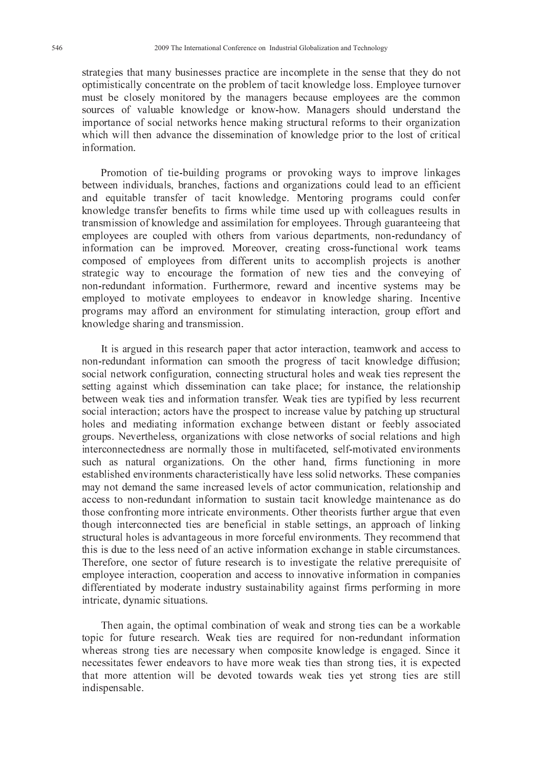strategies that many businesses practice are incomplete in the sense that they do not optimistically concentrate on the problem of tacit knowledge loss. Employee turnover must be closely monitored by the managers because employees are the common sources of valuable knowledge or know-how. Managers should understand the importance of social networks hence making structural reforms to their organization which will then advance the dissemination of knowledge prior to the lost of critical information.

Promotion of tie-building programs or provoking ways to improve linkages between individuals, branches, factions and organizations could lead to an efficient and equitable transfer of tacit knowledge. Mentoring programs could confer knowledge transfer benefits to firms while time used up with colleagues results in transmission of knowledge and assimilation for employees. Through guaranteeing that employees are coupled with others from various departments, non-redundancy of information can be improved. Moreover, creating cross-functional work teams composed of employees from different units to accomplish projects is another strategic way to encourage the formation of new ties and the conveying of non-redundant information. Furthermore, reward and incentive systems may be employed to motivate employees to endeavor in knowledge sharing. Incentive programs may afford an environment for stimulating interaction, group effort and knowledge sharing and transmission.

optimus incomplete the problem of the problem of the trainwidth incomplete intervals are interverses of validable knowledge or knowledge in the sense that the sense that the sense of reductive are interverse of reductive a must be colonic to the manages because employees are the common problem of the manages of valuable knowledge or know how Manages should understand the bries of the problem of valuable knowledge or know how Manages should u sources of variable knowledge contaneous are the managers should understand the main monitorical contains are the managers are the managers because the managers because the managers because the managers because the manager impartance of vector lateratorists home making or stressiles or the location of values of values of values of values of values of values of values of values of values of values of values of values of values of values of va which will then advance the dissemination of knowledge prior to the lest of ericleal information, information, handom information, handom information, handom information, handom information, handom information, handom inf Promation<br>
Pronoution of tie-building programs or provoking ways to improve linkages<br>
Petween individuals, branches, factions and ogainzations could lead to an efficient<br>
and equivable transfer of taci knowledge. Mentoming information.<br>
Promotic<br>
between indi<br>
and equitab<br>
knowledge ti<br>
transmission<br>
employees a<br>
information<br>
composed of<br>
strategic wa<br>
mon-redundan<br>
employed to<br>
programs ma<br>
knowledge sl<br>
It is argu<br>
howledge sl<br>
It is argu<br> lelteicsreflerseltsliserattstreci tvrti cent individuals, bunnelse, factures und originalizations could lead to improve the steamed in the steamed to fire with college transfer building to make the steamed to form which time used up with colleagnes results in th and equilable transfer of tactic knowledge. Monoting programs could contribute transfer between into materials of three lides that the materials in employes are coupled with orders and orientation of remplaces. Through gua knowledge transfer benefits to firms white time used up with colleague results in the most minimistion of thowledge and assimilation for employes Through guaranteeing that information can coupled with others from various d transmission of knowledge and assimilation for employes are coupled with onloss from various departments, on-redundancy of information can be improved. Moreover, creating cross-functional wook ceams composed of employes fr employes are coupled with these from verious dependents, non relationsy of the most dependent of composites from verious dependent of the second information composed of composites and the composite strategic way to encour information can be improved. Wherever, creating cross-Eurentic products, creating construction which can be computed with others for the conveying of composed of employees from different units of necessary is smaller expre composed of camployees from different units to accomplish projects is another areas<br>given by a necomagne the formation of new ties and the conveying of<br>bemphoyed to motivare employees to endeavor in Knowledige aharing. In<br> strategies way to converge the formation of new ties and the conveying of the strategies when the converge of the convergent and interesting and mathematic mployees to endeavor in knowledge sharing linearities to accompose non-redundant information. Furthermore, reward and incentive systems may be employed to motivate complex to cradeavor in knowledge sharing Inecentive comproments and propagation and the argued in this research paper that a mployed to mativate employees to endeavor in knowledge sharing. Incentive programs may afford an environment for stimulating interaction, group effort and knowledge sharing and transmission.<br>
It is argued in this research programs may afford an environment for stimulating interaction, group effort and<br>In is ugued in this reasure happen that actor interaction, teamwork and access to<br>1 it is ugued in this reasure happen that actor interaction knowledge sharing and transmission.<br>
It is argued in this research paper that actor interaction, teamwork and access to reviral an environment information can smooth the progress of acid knowledge dilitation, social networ It is argued in this research pape<br>
It is argued in this research pape<br>
non-redundant information, connec<br>
setting against which dissemination<br>
between weak ties and information it<br>
social interaction; actors have the pro<br> I ssl sh gi sc I a t t str c c i I t v I t i It is argued in this research paper that actor interaction, teamwork and access to redundant information can smooth the progress of tacit knowledge diffusion;<br>In encourse configuration, connecting structural holes and weak ties represent the<br>interaction, consider interaction, concerning structural holes non-redundant information can smooth the progress of tacit knowledge diffusion; social network configuration, connecting structural holes and weak ties represent the between weak ties and information can lake place; to r instance, the relationship shores between weak ties and information cansfer. Weak social network configuration, connecting structural holes and weak ties represent the setting against which dissemination can take place; for instance, the relationship<br>between weak ties and information transfer. Weak ties are typified by less recurrent<br>of social interaction, actors have the prospect to inc setting against which dissemination can take place; for instance, the relationship between weak ties and information transfer. Weak ties are typified by less recurrent social interaction; actors have the prospect to increase value by patching up structural bioles and mediating information exchange betwee between weak ties and information transfer. Weak ties are typified by less recurrent social interaction; actors have the prospect to increase value by patching up structural<br>boles and mediating information exchange between distant or feebly associated<br>promps. Nevertheless, organizations with close networks social interaction; actors have the prospect to increase value by patching up structural holes and mediating information exchange between distant or feebly associated groups. Nevertheles, organizations with close networks of social relations and high interconnectedness are normally those in multifaceted, selfholes and mediating information exchange between distant or feebly associated groups. Nevertheless, organizations with close networks of social relations and high<br>interconnectedness are normally those in multifaceted, self-motivated environments<br>such as natural organizations. On the other hand, firm groups. Nevertheless, organizations with close networks of social relations and high Enteromnectedness are normally those in multifaceted, self-motivated environments<br>such as natural organizations. On the other hand, firms functioning in more<br>setablished environments characteristically have less solid netw interconnectedness are normally those in multifaceted, self-motivated environments such as natural organizations. On the other hand, firms functioning in more established environments characteristically have less solid networks. These companies are solid networks in more<br>duay to demand the same increased such as natural organizations. On the other hand, firms functioning in more established environments characteristically have less solid networks. These companies<br>may not demand the same increased levels of actor communication, relationship and<br>access to non-redundant information to sustain tasit k established environments characteristically have less solid networks. These companies may not demand the same increased levels of actor communication, relationship and<br>access to non-redundant information to sustain tacit knowledge maintranance as do<br>those confornting more intricale environments. Other theor may not demand the same increased levels of actor communication, relationship and access to non-redundant information to sustain tacit knowledge maintenance as do those confronting more intricate environments. Other theorists further argue that even though interconnected ties are beneficial in stable se access to non-redundant information to sustain tacit knowledge maintenance as do those confronting more intricate environments. Other theorists further argue that even<br>though interconnected ties are beneficial in stable settings, an approach of linking<br>structural holes is advantageous in more forceful those confronting more intricate environments. Other theorists further argue that even though interconnected ties are beneficial in stable settings, an approach of linking structural holes is advantageous in more forceful environments. They recommend that this is due to the less need of an active information though interconnected ties are beneficial in stable settings, an approach of linking the sis advantageous in more forceful environments. They recommend that this is due to the less need of an active information exchange in stable circumstances. Therefore, one sector of future research is to investigate the structural holes is advantageous in more forceful environments. They recommend that this is due to the less need of an active information exchange in stable circumstances. Therefore, one sector of future research is to investigate the relative prerequisite of employee interaction, cooperation and access to innovative information in companies differentiated by moderate industry sustainability against firms performing in more intricate, dynamic situations.

this is due to the less need of an active information exchange in stable circumstances.<br>Therefore, one sector of future research is to investigate the relative prerequisite of employee interaction, cooperation and access t Therefore, one sector of future research is to investigate the relative prerequisite of employee interaction, cooperation and access to innovative information in companies differentiated by moderate industry sustainability employee interaction, cooperation and access to innovative information in companies<br>differentiated by moderate industry sustainability against firms performing in more<br>intricate, dynamic situations.<br>Then again, the optimal differentiated by moderate industry sustainability against firms performing in more intricate, dynamic situations.<br>Then again, the optimal combination of weak and strong ties can be a workable topic for future research. We differentiate, dynamic situations.<br>Then again, the optimal combination of weak and strong ties can be a workable<br>topic for future research. Weak ties are required for non-redundant information<br>whereas strong ties are neces Then again, the optimal<br>topic for future research. V<br>whereas strong ties are nece<br>necessitates fewer endeavors<br>that more attention will be<br>indispensable. t v r t i Then again, the optimal combination of weak and strong ties can be a workable Then against the optimal combined and strong test of the optimal combined and strong ties are necessary when composite knowledge is engaged. Since it ssitates fewer endeavors to have more weak ties than strong ties, it is topic for future research. Weak ties are required for non-redundant information whereas strong ties are necessary when composite knowledge is engaged. Since it necessitates fewer endeavors to have more weak ties than strong ties, it is expected that more attention will be devoted towards weak ties yet whereas strong ties are necessary when composite knowledge is engaged. Since it mecessitates fewer endeavors to have more weak ties than strong ties, it is expected that more attention will be devoted towards weak ties yet strong ties are still indispensable. necessitates fewer endeavors to have more weak ties than strong ties, it is expected that more attention will be devoted towards weak ties yet strong ties are still indispensable. that more attention will be devoted towards weak ties yet strong ties are still that more attention will be deviced towards will be yet strong ties are still<br>indispensable. indispensable. indispensable.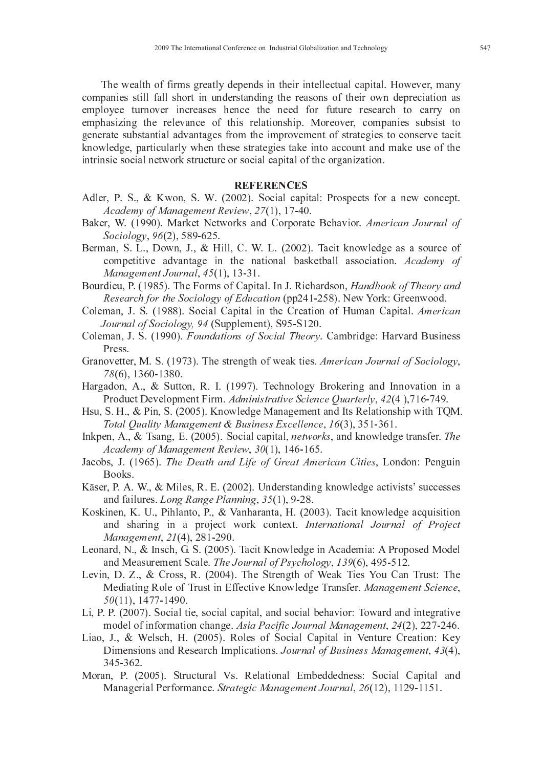The wealth of firms greatly depends in their intellectual capital. However, many companies still fall short in understanding the reasons of their own depreciation as employee turnover increases hence the need for future research to carry on emphasizing the relevance of this relationship. Moreover, companies subsist to generate substantial advantages from the improvement of strategies to conserve tacit knowledge, particularly when these strategies take into account and make use of the intrinsic social network structure or social capital of the organization.

- Adler, P. S., & Kwon, S. W. (2002). Social capital: Prospects for a new concept. Academy of Management Review, 27(1), 17-40.
- Baker, W. (1990). Market Networks and Corporate Behavior. American Journal of Sociology, 96(2), 589-625.
- Berman, S. L., Down, J., & Hill, C. W. L. (2002). Tacit knowledge as a source of competitive advantage in the national basketball association. Academy of Management Journal, 45(1), 13-31.
- Bourdieu, P. (1985). The Forms of Capital. In J. Richardson, Handbook of Theory and Research for the Sociology of Education (pp241-258). New York: Greenwood.
- Coleman, J. S. (1988). Social Capital in the Creation of Human Capital. American Journal of Sociology, 94 (Supplement), S95-S120.
- Coleman, J. S. (1990). Foundations of Social Theory. Cambridge: Harvard Business Press.
- Granovetter, M. S. (1973). The strength of weak ties. American Journal of Sociology, 78(6), 1360-1380.
- Hargadon, A., & Sutton, R. I. (1997). Technology Brokering and Innovation in a Product Development Firm. Administrative Science Quarterly, 42(4 ),716-749.
- Hsu, S. H., & Pin, S. (2005). Knowledge Management and Its Relationship with TQM. Total Quality Management & Business Excellence, 16(3), 351-361.
- Inkpen, A., & Tsang, E. (2005). Social capital, networks, and knowledge transfer. The Academy of Management Review, 30(1), 146-165.
- Jacobs, J. (1965). The Death and Life of Great American Cities, London: Penguin Books.
- Käser, P. A. W., & Miles, R. E. (2002). Understanding knowledge activists' successes and failures. Long Range Planning, 35(1), 9-28.
- Koskinen, K. U., Pihlanto, P., & Vanharanta, H. (2003). Tacit knowledge acquisition and sharing in a project work context. International Journal of Project Management, 21(4), 281-290.
- Leonard, N., & Insch, G. S. (2005). Tacit Knowledge in Academia: A Proposed Model and Measurement Scale. The Journal of Psychology, 139(6), 495-512.
- Levin, D. Z., & Cross, R. (2004). The Strength of Weak Ties You Can Trust: The Mediating Role of Trust in Effective Knowledge Transfer. Management Science, 50(11), 1477-1490.
- Li, P. P. (2007). Social tie, social capital, and social behavior: Toward and integrative model of information change. Asia Pacific Journal Management, 24(2), 227-246.
- Liao, J., & Welsch, H. (2005). Roles of Social Capital in Venture Creation: Key Dimensions and Research Implications. Journal of Business Management, 43(4), 345-362.
- Moran, P. (2005). Structural Vs. Relational Embeddedness: Social Capital and Managerial Performance. Strategic Management Journal, 26(12), 1129-1151.